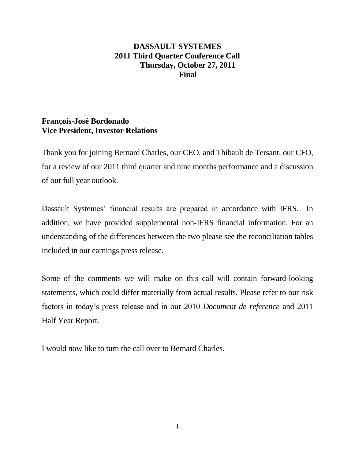# **DASSAULT SYSTEMES 2011 Third Quarter Conference Call Thursday, October 27, 2011 Final**

# **François-José Bordonado Vice President, Investor Relations**

Thank you for joining Bernard Charles, our CEO, and Thibault de Tersant, our CFO, for a review of our 2011 third quarter and nine months performance and a discussion of our full year outlook.

Dassault Systemes' financial results are prepared in accordance with IFRS. In addition, we have provided supplemental non-IFRS financial information. For an understanding of the differences between the two please see the reconciliation tables included in our earnings press release.

Some of the comments we will make on this call will contain forward-looking statements, which could differ materially from actual results. Please refer to our risk factors in today's press release and in our 2010 *Document de reference* and 2011 Half Year Report.

I would now like to turn the call over to Bernard Charles.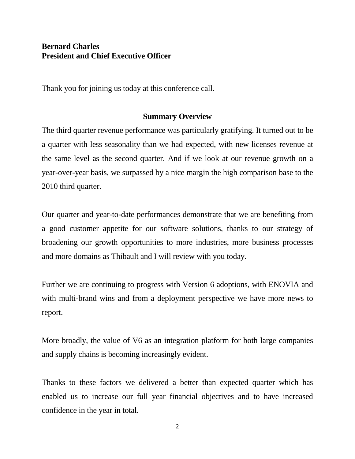# **Bernard Charles President and Chief Executive Officer**

Thank you for joining us today at this conference call.

### **Summary Overview**

The third quarter revenue performance was particularly gratifying. It turned out to be a quarter with less seasonality than we had expected, with new licenses revenue at the same level as the second quarter. And if we look at our revenue growth on a year-over-year basis, we surpassed by a nice margin the high comparison base to the 2010 third quarter.

Our quarter and year-to-date performances demonstrate that we are benefiting from a good customer appetite for our software solutions, thanks to our strategy of broadening our growth opportunities to more industries, more business processes and more domains as Thibault and I will review with you today.

Further we are continuing to progress with Version 6 adoptions, with ENOVIA and with multi-brand wins and from a deployment perspective we have more news to report.

More broadly, the value of V6 as an integration platform for both large companies and supply chains is becoming increasingly evident.

Thanks to these factors we delivered a better than expected quarter which has enabled us to increase our full year financial objectives and to have increased confidence in the year in total.

2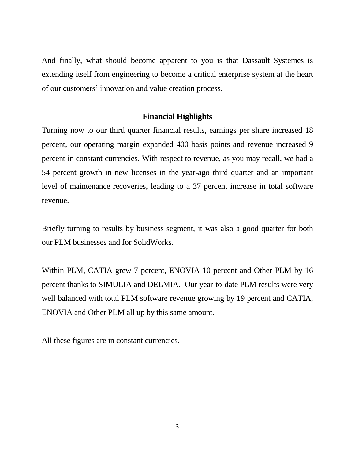And finally, what should become apparent to you is that Dassault Systemes is extending itself from engineering to become a critical enterprise system at the heart of our customers' innovation and value creation process.

# **Financial Highlights**

Turning now to our third quarter financial results, earnings per share increased 18 percent, our operating margin expanded 400 basis points and revenue increased 9 percent in constant currencies. With respect to revenue, as you may recall, we had a 54 percent growth in new licenses in the year-ago third quarter and an important level of maintenance recoveries, leading to a 37 percent increase in total software revenue.

Briefly turning to results by business segment, it was also a good quarter for both our PLM businesses and for SolidWorks.

Within PLM, CATIA grew 7 percent, ENOVIA 10 percent and Other PLM by 16 percent thanks to SIMULIA and DELMIA. Our year-to-date PLM results were very well balanced with total PLM software revenue growing by 19 percent and CATIA, ENOVIA and Other PLM all up by this same amount.

All these figures are in constant currencies.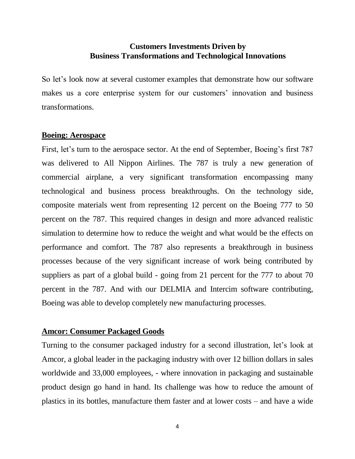# **Customers Investments Driven by Business Transformations and Technological Innovations**

So let's look now at several customer examples that demonstrate how our software makes us a core enterprise system for our customers' innovation and business transformations.

### **Boeing: Aerospace**

First, let's turn to the aerospace sector. At the end of September, Boeing's first 787 was delivered to All Nippon Airlines. The 787 is truly a new generation of commercial airplane, a very significant transformation encompassing many technological and business process breakthroughs. On the technology side, composite materials went from representing 12 percent on the Boeing 777 to 50 percent on the 787. This required changes in design and more advanced realistic simulation to determine how to reduce the weight and what would be the effects on performance and comfort. The 787 also represents a breakthrough in business processes because of the very significant increase of work being contributed by suppliers as part of a global build - going from 21 percent for the 777 to about 70 percent in the 787. And with our DELMIA and Intercim software contributing, Boeing was able to develop completely new manufacturing processes.

# **Amcor: Consumer Packaged Goods**

Turning to the consumer packaged industry for a second illustration, let's look at Amcor, a global leader in the packaging industry with over 12 billion dollars in sales worldwide and 33,000 employees, - where innovation in packaging and sustainable product design go hand in hand. Its challenge was how to reduce the amount of plastics in its bottles, manufacture them faster and at lower costs – and have a wide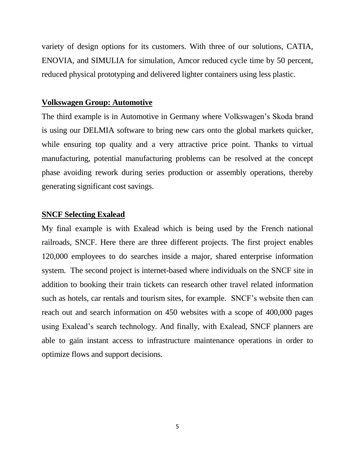variety of design options for its customers. With three of our solutions, CATIA, ENOVIA, and SIMULIA for simulation, Amcor reduced cycle time by 50 percent, reduced physical prototyping and delivered lighter containers using less plastic.

#### **Volkswagen Group: Automotive**

The third example is in Automotive in Germany where Volkswagen's Skoda brand is using our DELMIA software to bring new cars onto the global markets quicker, while ensuring top quality and a very attractive price point. Thanks to virtual manufacturing, potential manufacturing problems can be resolved at the concept phase avoiding rework during series production or assembly operations, thereby generating significant cost savings.

#### **SNCF Selecting Exalead**

My final example is with Exalead which is being used by the French national railroads, SNCF. Here there are three different projects. The first project enables 120,000 employees to do searches inside a major, shared enterprise information system. The second project is internet-based where individuals on the SNCF site in addition to booking their train tickets can research other travel related information such as hotels, car rentals and tourism sites, for example. SNCF's website then can reach out and search information on 450 websites with a scope of 400,000 pages using Exalead's search technology. And finally, with Exalead, SNCF planners are able to gain instant access to infrastructure maintenance operations in order to optimize flows and support decisions.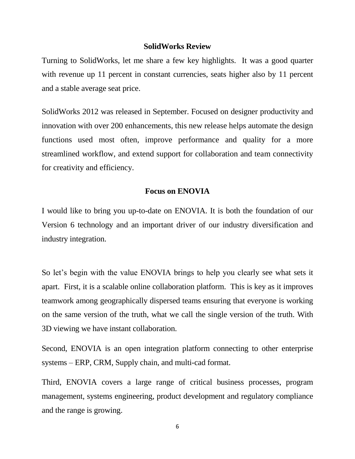#### **SolidWorks Review**

Turning to SolidWorks, let me share a few key highlights. It was a good quarter with revenue up 11 percent in constant currencies, seats higher also by 11 percent and a stable average seat price.

SolidWorks 2012 was released in September. Focused on designer productivity and innovation with over 200 enhancements, this new release helps automate the design functions used most often, improve performance and quality for a more streamlined workflow, and extend support for collaboration and team connectivity for creativity and efficiency.

### **Focus on ENOVIA**

I would like to bring you up-to-date on ENOVIA. It is both the foundation of our Version 6 technology and an important driver of our industry diversification and industry integration.

So let's begin with the value ENOVIA brings to help you clearly see what sets it apart. First, it is a scalable online collaboration platform. This is key as it improves teamwork among geographically dispersed teams ensuring that everyone is working on the same version of the truth, what we call the single version of the truth. With 3D viewing we have instant collaboration.

Second, ENOVIA is an open integration platform connecting to other enterprise systems – ERP, CRM, Supply chain, and multi-cad format.

Third, ENOVIA covers a large range of critical business processes, program management, systems engineering, product development and regulatory compliance and the range is growing.

6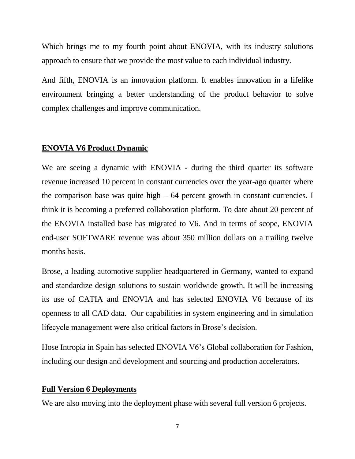Which brings me to my fourth point about ENOVIA, with its industry solutions approach to ensure that we provide the most value to each individual industry.

And fifth, ENOVIA is an innovation platform. It enables innovation in a lifelike environment bringing a better understanding of the product behavior to solve complex challenges and improve communication.

### **ENOVIA V6 Product Dynamic**

We are seeing a dynamic with ENOVIA - during the third quarter its software revenue increased 10 percent in constant currencies over the year-ago quarter where the comparison base was quite high  $-64$  percent growth in constant currencies. I think it is becoming a preferred collaboration platform. To date about 20 percent of the ENOVIA installed base has migrated to V6. And in terms of scope, ENOVIA end-user SOFTWARE revenue was about 350 million dollars on a trailing twelve months basis.

Brose, a leading automotive supplier headquartered in Germany, wanted to expand and standardize design solutions to sustain worldwide growth. It will be increasing its use of CATIA and ENOVIA and has selected ENOVIA V6 because of its openness to all CAD data. Our capabilities in system engineering and in simulation lifecycle management were also critical factors in Brose's decision.

Hose Intropia in Spain has selected ENOVIA V6's Global collaboration for Fashion, including our design and development and sourcing and production accelerators.

## **Full Version 6 Deployments**

We are also moving into the deployment phase with several full version 6 projects.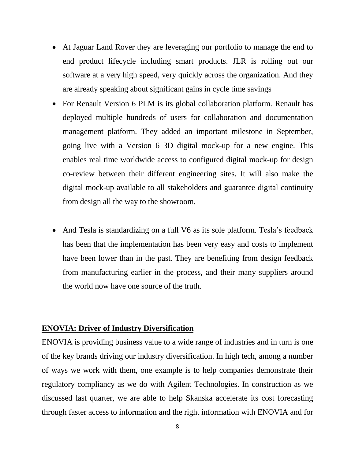- At Jaguar Land Rover they are leveraging our portfolio to manage the end to end product lifecycle including smart products. JLR is rolling out our software at a very high speed, very quickly across the organization. And they are already speaking about significant gains in cycle time savings
- For Renault Version 6 PLM is its global collaboration platform. Renault has deployed multiple hundreds of users for collaboration and documentation management platform. They added an important milestone in September, going live with a Version 6 3D digital mock-up for a new engine. This enables real time worldwide access to configured digital mock-up for design co-review between their different engineering sites. It will also make the digital mock-up available to all stakeholders and guarantee digital continuity from design all the way to the showroom.
- And Tesla is standardizing on a full V6 as its sole platform. Tesla's feedback has been that the implementation has been very easy and costs to implement have been lower than in the past. They are benefiting from design feedback from manufacturing earlier in the process, and their many suppliers around the world now have one source of the truth.

### **ENOVIA: Driver of Industry Diversification**

ENOVIA is providing business value to a wide range of industries and in turn is one of the key brands driving our industry diversification. In high tech, among a number of ways we work with them, one example is to help companies demonstrate their regulatory compliancy as we do with Agilent Technologies. In construction as we discussed last quarter, we are able to help Skanska accelerate its cost forecasting through faster access to information and the right information with ENOVIA and for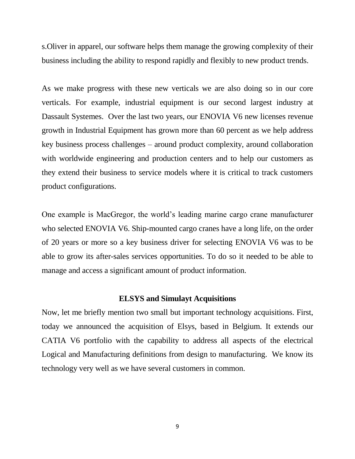s.Oliver in apparel, our software helps them manage the growing complexity of their business including the ability to respond rapidly and flexibly to new product trends.

As we make progress with these new verticals we are also doing so in our core verticals. For example, industrial equipment is our second largest industry at Dassault Systemes. Over the last two years, our ENOVIA V6 new licenses revenue growth in Industrial Equipment has grown more than 60 percent as we help address key business process challenges – around product complexity, around collaboration with worldwide engineering and production centers and to help our customers as they extend their business to service models where it is critical to track customers product configurations.

One example is MacGregor, the world's leading marine cargo crane manufacturer who selected ENOVIA V6. Ship-mounted cargo cranes have a long life, on the order of 20 years or more so a key business driver for selecting ENOVIA V6 was to be able to grow its after-sales services opportunities. To do so it needed to be able to manage and access a significant amount of product information.

# **ELSYS and Simulayt Acquisitions**

Now, let me briefly mention two small but important technology acquisitions. First, today we announced the acquisition of Elsys, based in Belgium. It extends our CATIA V6 portfolio with the capability to address all aspects of the electrical Logical and Manufacturing definitions from design to manufacturing. We know its technology very well as we have several customers in common.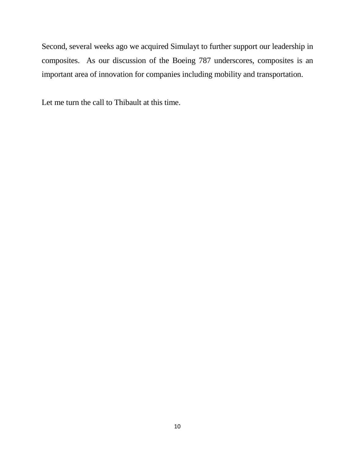Second, several weeks ago we acquired Simulayt to further support our leadership in composites. As our discussion of the Boeing 787 underscores, composites is an important area of innovation for companies including mobility and transportation.

Let me turn the call to Thibault at this time.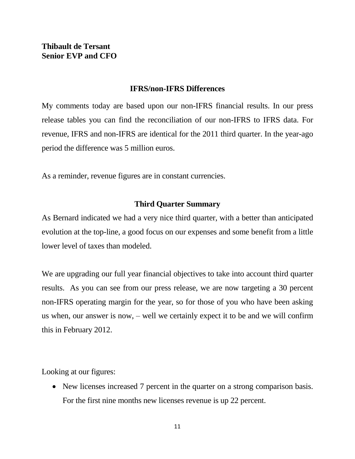# **IFRS/non-IFRS Differences**

My comments today are based upon our non-IFRS financial results. In our press release tables you can find the reconciliation of our non-IFRS to IFRS data. For revenue, IFRS and non-IFRS are identical for the 2011 third quarter. In the year-ago period the difference was 5 million euros.

As a reminder, revenue figures are in constant currencies.

# **Third Quarter Summary**

As Bernard indicated we had a very nice third quarter, with a better than anticipated evolution at the top-line, a good focus on our expenses and some benefit from a little lower level of taxes than modeled.

We are upgrading our full year financial objectives to take into account third quarter results. As you can see from our press release, we are now targeting a 30 percent non-IFRS operating margin for the year, so for those of you who have been asking us when, our answer is now, – well we certainly expect it to be and we will confirm this in February 2012.

Looking at our figures:

• New licenses increased 7 percent in the quarter on a strong comparison basis. For the first nine months new licenses revenue is up 22 percent.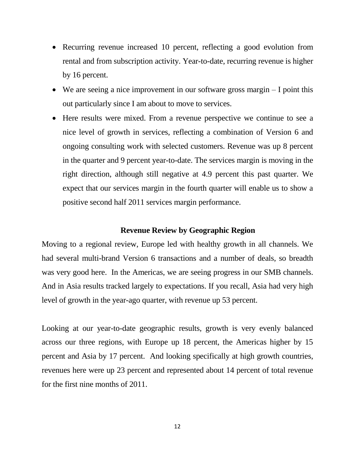- Recurring revenue increased 10 percent, reflecting a good evolution from rental and from subscription activity. Year-to-date, recurring revenue is higher by 16 percent.
- $\bullet$  We are seeing a nice improvement in our software gross margin  $-I$  point this out particularly since I am about to move to services.
- Here results were mixed. From a revenue perspective we continue to see a nice level of growth in services, reflecting a combination of Version 6 and ongoing consulting work with selected customers. Revenue was up 8 percent in the quarter and 9 percent year-to-date. The services margin is moving in the right direction, although still negative at 4.9 percent this past quarter. We expect that our services margin in the fourth quarter will enable us to show a positive second half 2011 services margin performance.

### **Revenue Review by Geographic Region**

Moving to a regional review, Europe led with healthy growth in all channels. We had several multi-brand Version 6 transactions and a number of deals, so breadth was very good here. In the Americas, we are seeing progress in our SMB channels. And in Asia results tracked largely to expectations. If you recall, Asia had very high level of growth in the year-ago quarter, with revenue up 53 percent.

Looking at our year-to-date geographic results, growth is very evenly balanced across our three regions, with Europe up 18 percent, the Americas higher by 15 percent and Asia by 17 percent. And looking specifically at high growth countries, revenues here were up 23 percent and represented about 14 percent of total revenue for the first nine months of 2011.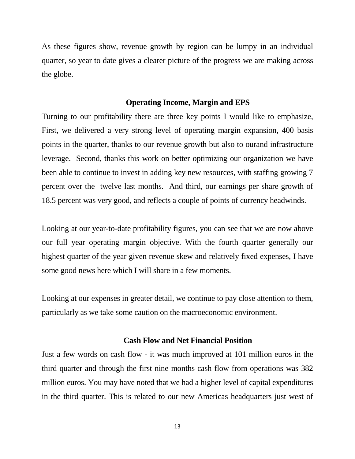As these figures show, revenue growth by region can be lumpy in an individual quarter, so year to date gives a clearer picture of the progress we are making across the globe.

### **Operating Income, Margin and EPS**

Turning to our profitability there are three key points I would like to emphasize, First, we delivered a very strong level of operating margin expansion, 400 basis points in the quarter, thanks to our revenue growth but also to ourand infrastructure leverage. Second, thanks this work on better optimizing our organization we have been able to continue to invest in adding key new resources, with staffing growing 7 percent over the twelve last months. And third, our earnings per share growth of 18.5 percent was very good, and reflects a couple of points of currency headwinds.

Looking at our year-to-date profitability figures, you can see that we are now above our full year operating margin objective. With the fourth quarter generally our highest quarter of the year given revenue skew and relatively fixed expenses, I have some good news here which I will share in a few moments.

Looking at our expenses in greater detail, we continue to pay close attention to them, particularly as we take some caution on the macroeconomic environment.

### **Cash Flow and Net Financial Position**

Just a few words on cash flow - it was much improved at 101 million euros in the third quarter and through the first nine months cash flow from operations was 382 million euros. You may have noted that we had a higher level of capital expenditures in the third quarter. This is related to our new Americas headquarters just west of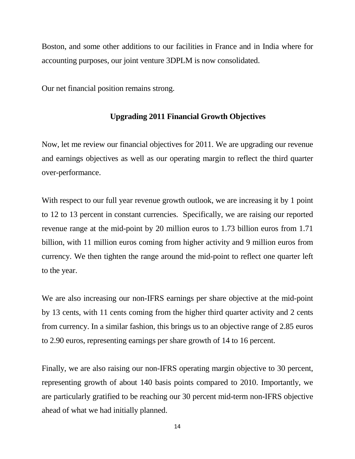Boston, and some other additions to our facilities in France and in India where for accounting purposes, our joint venture 3DPLM is now consolidated.

Our net financial position remains strong.

# **Upgrading 2011 Financial Growth Objectives**

Now, let me review our financial objectives for 2011. We are upgrading our revenue and earnings objectives as well as our operating margin to reflect the third quarter over-performance.

With respect to our full year revenue growth outlook, we are increasing it by 1 point to 12 to 13 percent in constant currencies. Specifically, we are raising our reported revenue range at the mid-point by 20 million euros to 1.73 billion euros from 1.71 billion, with 11 million euros coming from higher activity and 9 million euros from currency. We then tighten the range around the mid-point to reflect one quarter left to the year.

We are also increasing our non-IFRS earnings per share objective at the mid-point by 13 cents, with 11 cents coming from the higher third quarter activity and 2 cents from currency. In a similar fashion, this brings us to an objective range of 2.85 euros to 2.90 euros, representing earnings per share growth of 14 to 16 percent.

Finally, we are also raising our non-IFRS operating margin objective to 30 percent, representing growth of about 140 basis points compared to 2010. Importantly, we are particularly gratified to be reaching our 30 percent mid-term non-IFRS objective ahead of what we had initially planned.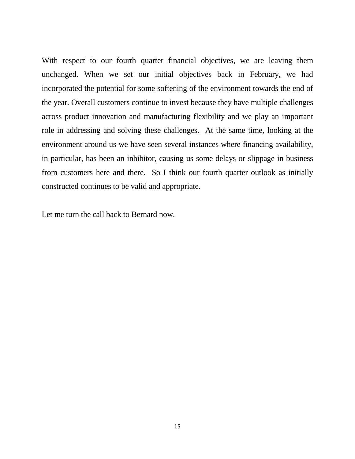With respect to our fourth quarter financial objectives, we are leaving them unchanged. When we set our initial objectives back in February, we had incorporated the potential for some softening of the environment towards the end of the year. Overall customers continue to invest because they have multiple challenges across product innovation and manufacturing flexibility and we play an important role in addressing and solving these challenges. At the same time, looking at the environment around us we have seen several instances where financing availability, in particular, has been an inhibitor, causing us some delays or slippage in business from customers here and there. So I think our fourth quarter outlook as initially constructed continues to be valid and appropriate.

Let me turn the call back to Bernard now.